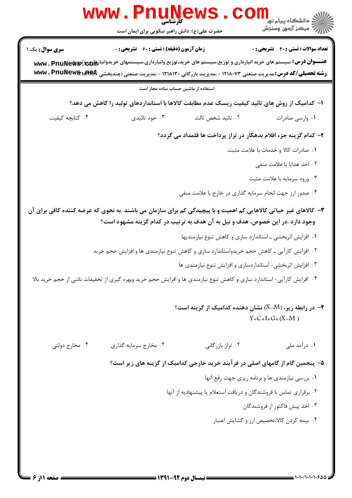|                        | WWW.PIIU<br>حضرت علی(ع): دانش راهبر نیکویی برای ایمان است                                                                                                                                                                                                       |                                                                                | ≦ دانشڪاه پيام نور<br>7- مرڪز آزمون وسنڊش       |
|------------------------|-----------------------------------------------------------------------------------------------------------------------------------------------------------------------------------------------------------------------------------------------------------------|--------------------------------------------------------------------------------|-------------------------------------------------|
| <b>سری سوال :</b> یک ۱ | <b>زمان آزمون (دقیقه) : تستی : 60 ٪ تشریحی : 0</b>                                                                                                                                                                                                              |                                                                                | <b>تعداد سوالات : تستي : 40 قشريحي : 0</b>      |
|                        | <b>عنـــوان درس:</b> سیستم های خرید انبارداری و توزیع،سیستم های خرید،توزیع وانبارداری،سیستمهای خریدوانبار۱۵ و www . PnuNe��<br><b>رشته تحصیلی/کد درس:</b> مدیریت صنعتی ۱۲۱۸۰۷۳ - ،مدیریت بازرگانی ۱۲۱۸۱۳۰ - ،مدیریت صنعتی (چندبخشی <b>www . PnuNew&amp;\Afe</b> |                                                                                |                                                 |
|                        | استفاده از ماشین حساب ساده مجاز است                                                                                                                                                                                                                             |                                                                                |                                                 |
|                        | ا– کدامیک از روش های تائید کیفیت ریسک عدم مطابقت کالاها با استانداردهای تولید را کاهش می دهد؟                                                                                                                                                                   |                                                                                |                                                 |
| ۰۴ کتابچه کیفیت        | ۰۳ خود تائیدی                                                                                                                                                                                                                                                   | ۰۲ تائيد شخص ثالث                                                              | ۰۱ وارسی صادرات                                 |
|                        |                                                                                                                                                                                                                                                                 | ۲- کدام گزینه جزء اقلام بدهکار در تراز پرداخت ها قلمداد می گردد؟               |                                                 |
|                        |                                                                                                                                                                                                                                                                 |                                                                                | ۰۱ صادرات کالا و خدمات با علامت مثبت            |
|                        |                                                                                                                                                                                                                                                                 |                                                                                | ۰۲ اخذ هدایا با علامت منفی                      |
|                        |                                                                                                                                                                                                                                                                 |                                                                                | ۰۳ ورود سرمايه با علامت مثبت                    |
|                        |                                                                                                                                                                                                                                                                 | ۰۴ صدور ارز جهت انجام سرمایه گذاری در خارج با علامت منفی                       |                                                 |
|                        | ۳- کالاهای غیر حیاتی کالاهایی کم اهمیت و با پیچیدگی کم برای سازمان می باشند .به نحوی که عرضه کننده کافی برای آن<br>وجود دارد .در این خصوص، هدف و نیل به آن هدف به ترتیب در کدام گزینه مشهود است؟                                                                |                                                                                |                                                 |
|                        |                                                                                                                                                                                                                                                                 | ٠١ افزايش اثربخشي ـ استاندارد سازي و كاهش تنوع نيازمنديها                      |                                                 |
|                        | ۰۲ افزایش کارآیی ـ کاهش حجم خریدواستاندارد سازی و کاهش تنوع نیازمندی ها و افزایش حجم خرید                                                                                                                                                                       |                                                                                |                                                 |
|                        |                                                                                                                                                                                                                                                                 | ۰۳ افزایش اثربخشی-استانداردسازی و افزایش تنوع نیازمندی ها                      |                                                 |
|                        | ۰۴ افزایش کارآیی- استاندارد سازی و کاهش تنوع نیازمندی ها و افزایش حجم خرید وبهره گیری از تخفیفات ناشی از حجم خرید بالا                                                                                                                                          |                                                                                |                                                 |
|                        |                                                                                                                                                                                                                                                                 | - در رابطه زیر، (X–M) نشان دهنده کدامیک از گزینه است $\bullet$                 | $Y=C+I+G+(X-M)$                                 |
| ۰۴ مخارج دولتي         | ۰۳ مخارج سرمايه گذاري                                                                                                                                                                                                                                           | ۰۲ تراز بازرگانی                                                               | ۰۱ درآمد ملي                                    |
|                        |                                                                                                                                                                                                                                                                 | ۵– پنجمین گام از گامهای اصلی در فرآیند خرید خارجی کدامیک از گزینه های زیر است؟ |                                                 |
|                        |                                                                                                                                                                                                                                                                 |                                                                                | ٠١ بررسي نيازمندي ها و برنامه ريزي جهت رفع آنها |
|                        |                                                                                                                                                                                                                                                                 | ۰۲ برقراری تماس با فروشندگان و دریافت استعلام یا پیشنهادیه از آنها             |                                                 |
|                        |                                                                                                                                                                                                                                                                 |                                                                                | ۰۳ اخذ پیش فاکتور از فروشندگان                  |
|                        |                                                                                                                                                                                                                                                                 |                                                                                | ۰۴ بیمه کردن کالا،تخصیص ارز و گشایش اعتبار      |
|                        |                                                                                                                                                                                                                                                                 |                                                                                |                                                 |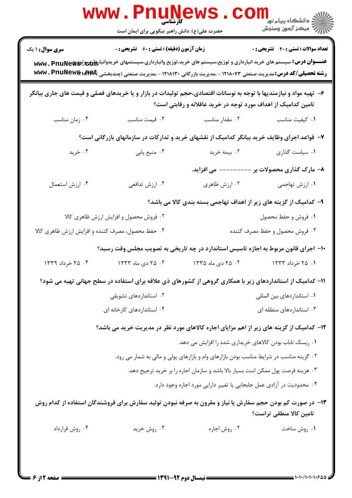|                                                   | کارشناسی<br>حضرت علی(ع): دانش راهبر نیکویی برای ایمان است                                                                                                                                                                                                                  |                                                                                        | ر دانشگاه پيام نور <mark>−</mark><br>ار∕* مرکز آزمون وسنجش         |
|---------------------------------------------------|----------------------------------------------------------------------------------------------------------------------------------------------------------------------------------------------------------------------------------------------------------------------------|----------------------------------------------------------------------------------------|--------------------------------------------------------------------|
| <b>سری سوال : ۱ یک</b>                            | زمان آزمون (دقیقه) : تستی : 60 ٪ تشریحی : 0                                                                                                                                                                                                                                |                                                                                        | <b>تعداد سوالات : تستي : 40 ٪ تشريحي : 0</b>                       |
|                                                   | <del>عنــــوان درس:</del> سیستم های خرید انبارداری و توزیع،سیستم های خرید،توزیع وانبارداری،سیستمهای خریدوانبار۱۵ و www. PnuNe��<br><b>رشته تحصیلی/کد درس:</b> مدیریت صنعتی ۱۲۱۸۰۷۳ - ،مدیریت بازرگانی ۱۲۱۸۱۳۰ - ،مدیریت صنعتی (چندبخشی <b>www . PnuNew&amp;\Af\&amp;</b> t |                                                                                        |                                                                    |
|                                                   | ۶– تهیه مواد و نیازمندیها با توجه به نوسانات اقتصادی،حجم تولیدات در بازار و یا خریدهای فصلی و قیمت های جاری بیانگر                                                                                                                                                         | تامین کدامیک از اهداف مورد توجه در خرید عاقلانه و رقابتی است؟                          |                                                                    |
| ۰۴ زمان مناسب                                     | ۰۳ قیمت مناسب                                                                                                                                                                                                                                                              | ۰۲ مقدار مناسب                                                                         | ٠١ كيفيت مناسب                                                     |
|                                                   | ۷- قواعد اجرای وظایف خرید بیانگر کدامیک از نقشهای خرید و تدارکات در سازمانهای بازرگانی است؟                                                                                                                                                                                |                                                                                        |                                                                    |
| ۰۴ خرید                                           | ۰۳ منبع يابي                                                                                                                                                                                                                                                               | ۰۲ بیمه خرید                                                                           | ٠١ سياست گذارى                                                     |
|                                                   |                                                                                                                                                                                                                                                                            | ------- مى افزايد.                                                                     | ۸– مارک گذاری محصولات بر                                           |
| ۰۴ ارزش استعمال                                   | ۰۳ ارزش تدافعی                                                                                                                                                                                                                                                             | ۰۲ ارزش ظاهری                                                                          | ۰۱ ارزش تهاجمی                                                     |
|                                                   |                                                                                                                                                                                                                                                                            |                                                                                        | ۹- کدامیک از گزینه های زیر از اهداف تهاجمی بسته بندی کالا می باشد؟ |
|                                                   | ۰۲ فروش محصول و افزایش ارزش ظاهری کالا                                                                                                                                                                                                                                     |                                                                                        | ۰۱ فروش و حفظ محصول                                                |
| ۰۴ حفظ محصول، مصرف کننده و افزایش ارزش ظاهری کالا |                                                                                                                                                                                                                                                                            |                                                                                        | ۰۳ فروش محصول و حفظ مصرف کننده                                     |
|                                                   | ۱۰– اجرای قانون مربوط به اجازه تاسیس استاندارد در چه تاریخی به تصویب مجلس وقت رسید؟                                                                                                                                                                                        |                                                                                        |                                                                    |
| ۰۴ خرداد ۱۳۳۹                                     | ۰۳ دی ماه ۱۳۳۳                                                                                                                                                                                                                                                             | ۰۲ - ۲۵ دی ماه ۱۳۳۵                                                                    | ۰۱ ۲۵ خرداد ۱۳۳۳                                                   |
|                                                   | 1۱– کدامیک از استانداردهای زیر با همکاری گروهی از کشورهای ذی علاقه برای استفاده در سطح جهانی تهیه می شود؟                                                                                                                                                                  |                                                                                        |                                                                    |
|                                                   | ۰۲ استانداردهای تشویقی                                                                                                                                                                                                                                                     |                                                                                        | ۰۱ استانداردهای بین المللی                                         |
|                                                   | ۰۴ استانداردهای کارخانه ای                                                                                                                                                                                                                                                 |                                                                                        | ۰۳ استانداردهای منطقه ای                                           |
|                                                   | ۱۲- کدامیک از گزینه های زیر از اهم مزایای اجاره کالاهای مورد نظر در مدیریت خرید می باشد؟                                                                                                                                                                                   |                                                                                        |                                                                    |
|                                                   |                                                                                                                                                                                                                                                                            | ۰۱ ریسک ناباب بودن کالاهای خریداری شده را افزایش می دهد.                               |                                                                    |
|                                                   |                                                                                                                                                                                                                                                                            | ۲. گزینه مناسب در شرایط مناسب بودن بازارهای وام و بازارهای پولی و مالی به شمار می رود. |                                                                    |
|                                                   |                                                                                                                                                                                                                                                                            | ۰۳ هزینه فرصت پول ممکن است بسیار بالا باشد و سازمان اجاره را بر خرید ترجیح دهد.        |                                                                    |
|                                                   |                                                                                                                                                                                                                                                                            | ۰۴ محدودیت در آزادی عمل جابجایی یا تغییر دارایی مورد اجاره وجود دارد.                  |                                                                    |
|                                                   | ۱۳- در صورت کم بودن حجم سفارش یا نیاز و مقرون به صرفه نبودن تولید سفارش برای فروشندگان استفاده از کدام روش                                                                                                                                                                 |                                                                                        | تامین کالا منطقی تراست؟                                            |
| ۰۴ روش قرارداد                                    | ۰۳ روش خرید                                                                                                                                                                                                                                                                | ۰۲ روش اجاره                                                                           | ۰۱ روش ساخت                                                        |
|                                                   |                                                                                                                                                                                                                                                                            |                                                                                        |                                                                    |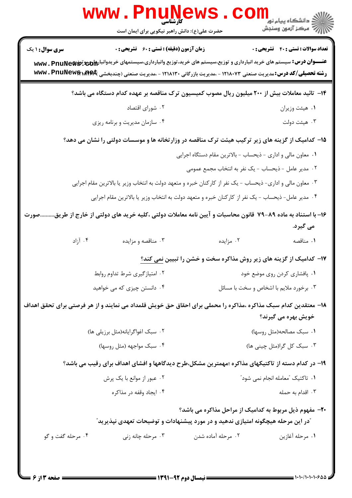|                                                                                                                   | <b>WWW.PNUNEWS</b><br>حضرت علی(ع): دانش راهبر نیکویی برای ایمان است                                                                                                                                                                                         |                                                                                   | الار دانشگاه پيام نور <mark>− .</mark><br>ا∭ مرکز آزمون وسنجش |  |
|-------------------------------------------------------------------------------------------------------------------|-------------------------------------------------------------------------------------------------------------------------------------------------------------------------------------------------------------------------------------------------------------|-----------------------------------------------------------------------------------|---------------------------------------------------------------|--|
| <b>سری سوال : ۱ یک</b>                                                                                            | <b>زمان آزمون (دقیقه) : تستی : 60 ٪ تشریحی : 0</b>                                                                                                                                                                                                          |                                                                                   | <b>تعداد سوالات : تستی : 40 - تشریحی : 0</b>                  |  |
|                                                                                                                   | عنـــوان درس: سیستم های خرید انبارداری و توزیع،سیستم های خرید،توزیع وانبارداری،سیستمهای خریدوانبار۱۵ و www. PnuNeŵ<br><b>رشته تحصیلی/کد درس: م</b> دیریت صنعتی ۱۲۱۸۰۷۳ - ،مدیریت بازرگانی ۱۲۱۸۱۳۰ - ،مدیریت صنعتی (چندبخشی <b>www . PnuNew&amp;\Af&amp;</b> |                                                                                   |                                                               |  |
|                                                                                                                   | ۱۴– تائید معاملات بیش از ۲۰۰ میلیون ریال مصوب کمیسیون ترک مناقصه بر عهده کدام دستگاه می باشد؟                                                                                                                                                               |                                                                                   |                                                               |  |
|                                                                                                                   | ۰۲ شورای اقتصاد                                                                                                                                                                                                                                             |                                                                                   | ۰۱ هیئت وزیران                                                |  |
|                                                                                                                   | ۰۴ سازمان مدیریت و برنامه ریزی                                                                                                                                                                                                                              |                                                                                   | ۰۳ هیئت دولت                                                  |  |
| ۱۵– کدامیک از گزینه های زیر ترکیب هیئت ترک مناقصه در وزارتخانه ها و موسسات دولتی را نشان می دهد؟                  |                                                                                                                                                                                                                                                             |                                                                                   |                                                               |  |
|                                                                                                                   |                                                                                                                                                                                                                                                             | ١. معاون مالي و اداري - ذيحساب - بالاترين مقام دستگاه اجرايي                      |                                                               |  |
|                                                                                                                   |                                                                                                                                                                                                                                                             | ۰۲ مدیر عامل -ذیحساب - یک نفر به انتخاب مجمع عمومی                                |                                                               |  |
| ۰۳ معاون مالی و اداری- ذیحساب - یک نفر از کارکنان خبره و متعهد دولت به انتخاب وزیر یا بالاترین مقام اجرایی        |                                                                                                                                                                                                                                                             |                                                                                   |                                                               |  |
|                                                                                                                   | ۰۴ مدیر عامل- ذیحساب - یک نفر از کارکنان خبره و متعهد دولت به انتخاب وزیر یا بالاترین مقام اجرایی                                                                                                                                                           |                                                                                   |                                                               |  |
| ۱۶– با استناد به ماده ۸۹–۷۹ قانون محاسبات و آیین نامه معاملات دولتی ،کلیه خرید های دولتی از خارج از طریق.<br>صورت |                                                                                                                                                                                                                                                             |                                                                                   | می گیرد.                                                      |  |
| ۰۴ آزاد                                                                                                           | ۰۳ مناقصه و مزایده                                                                                                                                                                                                                                          | ۰۲ مزایده                                                                         | ٠١ مناقصه                                                     |  |
|                                                                                                                   |                                                                                                                                                                                                                                                             | <b>۱۷</b> – کدامیک از گزینه های زیر روش مذاکره سخت و خشن را تبیین <u>نمی کند؟</u> |                                                               |  |
|                                                                                                                   | ۰۲ امتيازگيري شرط تداوم روابط                                                                                                                                                                                                                               |                                                                                   | ٠١. پافشاري كردن روى موضع خود                                 |  |
| ۰۴ دانستن چیزی که می خواهید<br>۰۳ برخورد ملايم با اشخاص و سخت با مسائل                                            |                                                                                                                                                                                                                                                             |                                                                                   |                                                               |  |
|                                                                                                                   | ۱۸– معتقدین کدام سبک مذاکره ،مذاکره را محملی برای احقاق حق خویش قلمداد می نمایند و از هر فرصتی برای تحقق اهداف                                                                                                                                              |                                                                                   |                                                               |  |
|                                                                                                                   |                                                                                                                                                                                                                                                             |                                                                                   | خويش بهره مي گيرند؟                                           |  |
|                                                                                                                   | ۰۲ سبک اغواگرایانه(مثل برزیلی ها)                                                                                                                                                                                                                           |                                                                                   | ٠١ سبك مصالحه(مثل روسها)                                      |  |
|                                                                                                                   | ۰۴ سبک مواجهه (مثل روسها)                                                                                                                                                                                                                                   |                                                                                   | ۰۳ سبک کل گرا(مثل چینی ها)                                    |  |
|                                                                                                                   | ۱۹– در کدام دسته از تاکتیکهای مذاکره ؛مهمترین مشکل،طرح دیدگاهها و افشای اهداف برای رقیب می باشد؟                                                                                                                                                            |                                                                                   |                                                               |  |
|                                                                                                                   | ۰۲ عبور از موانع با یک پرش                                                                                                                                                                                                                                  |                                                                                   | ۰۱ تاکتیک ″معامله انجام نمی شود″                              |  |
|                                                                                                                   | ۰۴ ایجاد وقفه در مذاکره                                                                                                                                                                                                                                     |                                                                                   | ۰۳ اقدام به حمله                                              |  |
|                                                                                                                   | ّدر این مرحله هیچگونه امتیازی ندهید و در مورد پیشنهادات و توضیحات تعهدی نپذیرید ّ                                                                                                                                                                           | ۲۰- مفهوم ذیل مربوط به کدامیک از مراحل مذاکره می باشد؟                            |                                                               |  |
| ۰۴ مرحله گفت و گو                                                                                                 | ۰۳ مرحله چانه زنی                                                                                                                                                                                                                                           | ۰۲ مرحله آماده شدن                                                                | ٠١ مرحله أغازين                                               |  |
|                                                                                                                   |                                                                                                                                                                                                                                                             |                                                                                   |                                                               |  |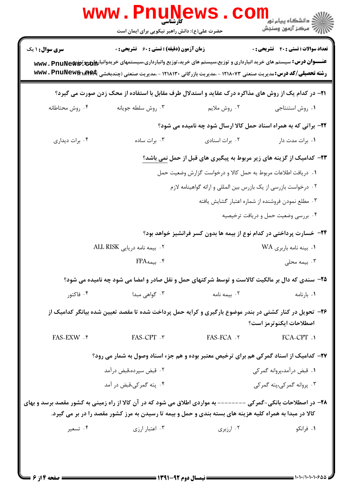|                        | www . Pn'<br>کارشناسی<br>حضرت علی(ع): دانش راهبر نیکویی برای ایمان است                                                                                                                                                     |                                                                 | <mark>ڪ دانشڪاه پيام نور −</mark><br>  <i>  &gt;</i> مرکز آزمون وسنڊش               |
|------------------------|----------------------------------------------------------------------------------------------------------------------------------------------------------------------------------------------------------------------------|-----------------------------------------------------------------|-------------------------------------------------------------------------------------|
| <b>سری سوال : ۱ یک</b> | <b>زمان آزمون (دقیقه) : تستی : 60 ٪ تشریحی : 0</b>                                                                                                                                                                         |                                                                 | <b>تعداد سوالات : تستي : 40 - تشريحي : 0</b>                                        |
|                        | <b>رشته تحصیلی/کد درس:</b> مدیریت صنعتی ۱۲۱۸۰۷۳ - ،مدیریت بازرگانی ۱۲۱۸۱۳۰ - ،مدیریت صنعتی (چندبخشی <b>www . PnuNew&amp;xÆ&amp;</b>                                                                                        |                                                                 |                                                                                     |
|                        | <b>۲۱</b> - در کدام یک از روش های مذاکره درک عقاید و استدلال طرف مقابل با استفاده از محک زدن صورت می گیرد؟                                                                                                                 |                                                                 |                                                                                     |
| ۰۴ روش محتاطانه        | ۰۳ روش سلطه جويانه                                                                                                                                                                                                         | ۰۲ روش ملايم                                                    | ٠١. روش استنتاجي                                                                    |
|                        |                                                                                                                                                                                                                            |                                                                 | ۲۲- براتی که به همراه اسناد حمل کالا ارسال شود چه نامیده می شود؟                    |
| ۰۴ برات دیداری         | ۰۳ برات ساده                                                                                                                                                                                                               | ٠٢ برات اسنادى                                                  | ۰۱ برات مدت دار                                                                     |
|                        |                                                                                                                                                                                                                            |                                                                 | <b>۲۳</b> – کدامیک از گزینه های زیر مربوط به پیگیری های قبل از حمل <u>نمی</u> باشد؟ |
|                        |                                                                                                                                                                                                                            | ۰۱ دریافت اطلاعات مربوط به حمل کالا و درخواست گزارش وضعیت حمل   |                                                                                     |
|                        |                                                                                                                                                                                                                            | ۰۲ درخواست بازرسی از یک بازرس بین المللی و ارائه گواهینامه لازم |                                                                                     |
|                        |                                                                                                                                                                                                                            |                                                                 | ۰۳ مطلع نمودن فروشنده از شماره اعتبار گشايش يافته                                   |
|                        |                                                                                                                                                                                                                            |                                                                 | ۰۴ بررسی وضعیت حمل و دریافت ترخیصیه                                                 |
|                        |                                                                                                                                                                                                                            |                                                                 | ۲۴- خسارت پرداختی در کدام نوع از بیمه ها بدون کسر فرانشیز خواهد بود؟                |
|                        | ۲. بیمه نامه دریایی ALL RISK                                                                                                                                                                                               |                                                                 | ۰۱ بینه نامه باربری WA                                                              |
|                        | ۴. بیمهFPA                                                                                                                                                                                                                 |                                                                 | ۰۳ بیمه محلی                                                                        |
|                        | ۲۵- سندی که دال بر مالکیت کالاست و توسط شرکتهای حمل و نقل صادر و امضا می شود چه نامیده می شود؟                                                                                                                             |                                                                 |                                                                                     |
| ۰۴ فاکتور              | ۰۳ گواهی مبدا                                                                                                                                                                                                              | ۰۲ بیمه نامه                                                    | ۰۱ بارنامه                                                                          |
|                        | ۲۶- تحویل در کنار کشتی در بندر موضوع بارگیری و کرایه حمل پرداخت شده تا مقصد تعیین شده بیانگر کدامیک از                                                                                                                     |                                                                 | اصطلاحات ايكنوترمز است؟                                                             |
| <b>FAS-EXW . ۴</b>     | FAS-CPT . ٣                                                                                                                                                                                                                | <b>FAS-FCA</b> . ٢                                              | <b>FCA-CPT .1</b>                                                                   |
|                        | ۲۷- کدامیک از اسناد گمرکی هم برای ترخیص معتبر بوده و هم جزء اسناد وصول به شمار می رود؟                                                                                                                                     |                                                                 |                                                                                     |
|                        | ۰۲ قبض سپرده،قبض درآمد                                                                                                                                                                                                     |                                                                 | ۰۱ قبض درآمد،پروانه گمرکی                                                           |
|                        | ۰۴ پته گمرکی،قبض در آمد                                                                                                                                                                                                    |                                                                 | ۰۳ پروانه گمرکی،پته گمرکی                                                           |
|                        | ۲۸– در اصطلاحات بانکی-گمرکی -------- به مواردی اطلاق می شود که در آن کالا از راه زمینی به کشور مقصد برسد و بهای<br>کالا در مبدا به همراه کلیه هزینه های بسته بندی و حمل و بیمه تا رسیدن به مرز کشور مقصد را در بر می گیرد. |                                                                 |                                                                                     |
| ۰۴ تسعیر               | ۰۳ اعتبار ارزی                                                                                                                                                                                                             | ۰۲ ارزبری                                                       | ۰۱ فرانکو                                                                           |
|                        |                                                                                                                                                                                                                            |                                                                 |                                                                                     |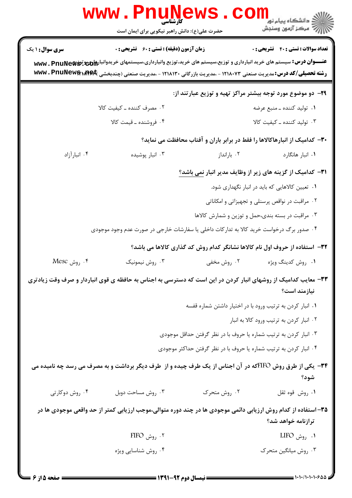|                        | w w w<br>كآرشناسي<br>حضرت علی(ع): دانش راهبر نیکویی برای ایمان است                                                                                                                                                                                      |                                                                    | ≦ دانشڪاه پيام نور<br>7- مرڪز آزمون وسنڊش                                   |
|------------------------|---------------------------------------------------------------------------------------------------------------------------------------------------------------------------------------------------------------------------------------------------------|--------------------------------------------------------------------|-----------------------------------------------------------------------------|
| <b>سری سوال : ۱ یک</b> | <b>زمان آزمون (دقیقه) : تستی : 60 ٪ تشریحی : 0</b>                                                                                                                                                                                                      |                                                                    | <b>تعداد سوالات : تستي : 40 ٪ تشريحي : 0</b>                                |
|                        | عنـــوان درس: سیستم های خرید انبارداری و توزیع،سیستم های خرید،توزیع وانبارداری،سیستمهای خریدوانبار۱۵ و www. PnuNew<br><b>رشته تحصیلی/کد درس:</b> مدیریت صنعتی ۱۲۱۸۰۷۳ - ،مدیریت بازرگانی ۱۲۱۸۱۳۰ - ،مدیریت صنعتی (چندبخشی <b>www . PnuNew&amp;\Af\$</b> |                                                                    |                                                                             |
|                        |                                                                                                                                                                                                                                                         |                                                                    | <b>۲۹</b> - دو موضوع مورد توجه بیشتر مراکز تهیه و توزیع عبارتند از:         |
|                        | ۰۲ مصرف کننده ـ کیفیت کالا                                                                                                                                                                                                                              |                                                                    | ۰۱ تولید کننده ـ منبع عرضه                                                  |
|                        | ۰۴ فروشنده ـ قیمت کالا                                                                                                                                                                                                                                  |                                                                    | ۰۳ تولید کننده ـ کیفیت کالا                                                 |
|                        |                                                                                                                                                                                                                                                         |                                                                    | ۳۰– کدامیک از انبارهاکالاها را فقط در برابر باران و آفتاب محافظت می نماید؟  |
| ۰۴ انبارآزاد           | ۰۳ انبار پوشیده                                                                                                                                                                                                                                         | ۰۲ بارانداز                                                        | ٠١ انبار هانگارد                                                            |
|                        |                                                                                                                                                                                                                                                         |                                                                    | <b>۳۱</b> - کدامیک از گزینه های زیر از وظایف مدیر انبار نمی باشد؟           |
|                        |                                                                                                                                                                                                                                                         |                                                                    | ۰۱ تعیین کالاهایی که باید در انبار نگهداری شود.                             |
|                        |                                                                                                                                                                                                                                                         |                                                                    | ۰۲ مراقبت در نواقص پرسنلی و تجهیزاتی و امکاناتی                             |
|                        |                                                                                                                                                                                                                                                         |                                                                    | ۰۳ مراقبت در بسته بندی،حمل و توزین و شمارش کالاها                           |
|                        | ۰۴ صدور برگ درخواست خرید کالا به تدارکات داخلی یا سفارشات خارجی در صورت عدم وجود موجودی                                                                                                                                                                 |                                                                    |                                                                             |
|                        |                                                                                                                                                                                                                                                         |                                                                    | 33- استفاده از حروف اول نام کالاها نشانگر کدام روش کد گذاری کالاها می باشد؟ |
| Mesc روش Mesc          | ۰۳ روش نیمونیک                                                                                                                                                                                                                                          | ۰۲ روش مخفی                                                        | ۰۱ روش کدینگ ویژه                                                           |
|                        | ۳۳- معایب کدامیک از روشهای انبار کردن در این است که دسترسی به اجناس به حافظه ی قوی انباردار و صرف وقت زیادتری                                                                                                                                           |                                                                    | نیازمند است؟                                                                |
|                        |                                                                                                                                                                                                                                                         | ۰۱ انبار کردن به ترتیب ورود با در اختیار داشتن شماره قفسه          |                                                                             |
|                        |                                                                                                                                                                                                                                                         |                                                                    | ۰۲ انبار کردن به ترتیب ورود کالا به انبار                                   |
|                        |                                                                                                                                                                                                                                                         | ۰۳ انبار کردن به ترتیب شماره یا حروف با در نظر گرفتن حداقل موجودی  |                                                                             |
|                        |                                                                                                                                                                                                                                                         | ۰۴ انبار کردن به ترتیب شماره یا حروف با در نظر گرفتن حداکثر موجودی |                                                                             |
|                        | ۳۴- یکی از طرق روش FIFOکه در آن اجناس از یک طرف چیده و از  طرف دیگر برداشت و به مصرف می رسد چه نامیده می                                                                                                                                                |                                                                    | شود؟                                                                        |
| ۰۴ روش دوکارتی         | ۰۳ روش مساحت دوبل                                                                                                                                                                                                                                       | ۰۲ روش متحرک                                                       | ۰۱ روش قوه ثقل                                                              |
|                        | ۳۵– استفاده از کدام روش ارزیابی دائمی موجودی ها در چند دوره متوالی،موجب ارزیابی کمتر از حد واقعی موجودی ها در                                                                                                                                           |                                                                    | ترازنامه خواهد شد؟                                                          |
|                        | ۰۲ <sub>روش</sub> FIFO                                                                                                                                                                                                                                  |                                                                    | ۱. <sub>روش LIFO</sub>                                                      |
|                        | ۰۴ روش شناسایی ویژه                                                                                                                                                                                                                                     |                                                                    | ۰۳ روش میانگین متحرک                                                        |